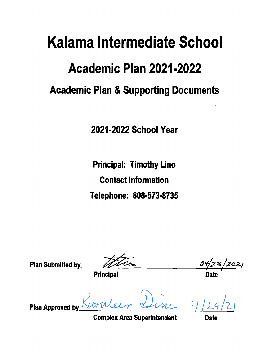# Kalama Intermediate School Academic Plan 2021-2022 **Academic Plan & Supporting Documents**

2021-2022 School Year

**Principal: Timothy Lino Contact Information** Telephone: 808-573-8735

**Plan Submitted by**  $12021$ **Principal Plan Approved by** 

**Complex Area Superintendent** 

**Date**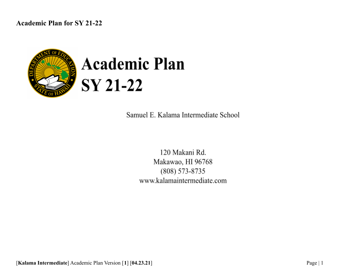

# **Academic Plan SY 21-22**

Samuel E. Kalama Intermediate School

120 Makani Rd. Makawao, HI 96768  $(808) 573 - 8735$ www.kalamaintermediate.com

[**Kalama Intermediate**] Academic Plan Version [**1**] [**04.23.21**] Page | 1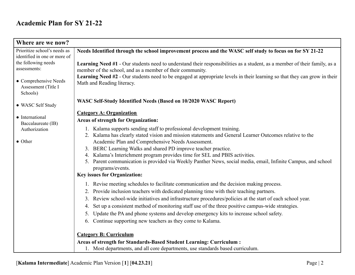| Where are we now?                            |                                                                                                                                                                                        |
|----------------------------------------------|----------------------------------------------------------------------------------------------------------------------------------------------------------------------------------------|
| Prioritize school's needs as                 | Needs Identified through the school improvement process and the WASC self study to focus on for SY 21-22                                                                               |
| identified in one or more of                 |                                                                                                                                                                                        |
| the following needs                          | Learning Need #1 - Our students need to understand their responsibilities as a student, as a member of their family, as a                                                              |
| assessments:                                 | member of the school, and as a member of their community.                                                                                                                              |
|                                              | Learning Need #2 - Our students need to be engaged at appropriate levels in their learning so that they can grow in their                                                              |
| • Comprehensive Needs<br>Assessment (Title I | Math and Reading literacy.                                                                                                                                                             |
| Schools)                                     |                                                                                                                                                                                        |
|                                              |                                                                                                                                                                                        |
| • WASC Self Study                            | WASC Self-Study Identified Needs (Based on 10/2020 WASC Report)                                                                                                                        |
|                                              | <b>Category A: Organization</b>                                                                                                                                                        |
| • International<br>Baccalaureate (IB)        | <b>Areas of strength for Organization:</b>                                                                                                                                             |
| Authorization                                | 1. Kalama supports sending staff to professional development training.                                                                                                                 |
|                                              | 2. Kalama has clearly stated vision and mission statements and General Learner Outcomes relative to the                                                                                |
| • Other                                      | Academic Plan and Comprehensive Needs Assessment.                                                                                                                                      |
|                                              | 3. BERC Learning Walks and shared PD improve teacher practice.                                                                                                                         |
|                                              | Kalama's Interichment program provides time for SEL and PBIS activities.<br>4.                                                                                                         |
|                                              | 5. Parent communication is provided via Weekly Panther News, social media, email, Infinite Campus, and school                                                                          |
|                                              | programs/events.                                                                                                                                                                       |
|                                              | <b>Key issues for Organization:</b>                                                                                                                                                    |
|                                              | 1. Revise meeting schedules to facilitate communication and the decision making process.                                                                                               |
|                                              | Provide inclusion teachers with dedicated planning time with their teaching partners.<br>2.                                                                                            |
|                                              | Review school-wide initiatives and infrastructure procedures/policies at the start of each school year.<br>3.                                                                          |
|                                              | Set up a consistent method of monitoring staff use of the three positive campus-wide strategies.<br>4.                                                                                 |
|                                              | Update the PA and phone systems and develop emergency kits to increase school safety.<br>5.                                                                                            |
|                                              | Continue supporting new teachers as they come to Kalama.<br>6.                                                                                                                         |
|                                              |                                                                                                                                                                                        |
|                                              |                                                                                                                                                                                        |
|                                              |                                                                                                                                                                                        |
|                                              | <b>Category B: Curriculum</b><br>Areas of strength for Standards-Based Student Learning: Curriculum:<br>1. Most departments, and all core departments, use standards based curriculum. |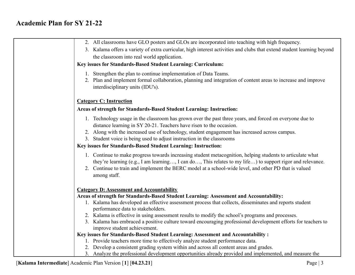| 2. All classrooms have GLO posters and GLOs are incorporated into teaching with high frequency.                                                                                                                                                                                                                                                  |
|--------------------------------------------------------------------------------------------------------------------------------------------------------------------------------------------------------------------------------------------------------------------------------------------------------------------------------------------------|
| 3. Kalama offers a variety of extra curricular, high interest activities and clubs that extend student learning beyond                                                                                                                                                                                                                           |
| the classroom into real world application.                                                                                                                                                                                                                                                                                                       |
| Key issues for Standards-Based Student Learning: Curriculum:                                                                                                                                                                                                                                                                                     |
| 1. Strengthen the plan to continue implementation of Data Teams.                                                                                                                                                                                                                                                                                 |
| 2. Plan and implement formal collaboration, planning and integration of content areas to increase and improve<br>interdisciplinary units (IDU's).                                                                                                                                                                                                |
| <b>Category C: Instruction</b>                                                                                                                                                                                                                                                                                                                   |
| Areas of strength for Standards-Based Student Learning: Instruction:                                                                                                                                                                                                                                                                             |
| 1. Technology usage in the classroom has grown over the past three years, and forced on everyone due to<br>distance learning in SY 20-21. Teachers have risen to the occasion.                                                                                                                                                                   |
| 2. Along with the increased use of technology, student engagement has increased across campus.                                                                                                                                                                                                                                                   |
| 3. Student voice is being used to adjust instruction in the classrooms                                                                                                                                                                                                                                                                           |
| Key issues for Standards-Based Student Learning: Instruction:                                                                                                                                                                                                                                                                                    |
| 1. Continue to make progress towards increasing student metacognition, helping students to articulate what<br>they're learning (e.g., I am learning, I can do, This relates to my life) to support rigor and relevance.<br>2. Continue to train and implement the BERC model at a school-wide level, and other PD that is valued<br>among staff. |
| <b>Category D: Assessment and Accountability</b>                                                                                                                                                                                                                                                                                                 |
| Areas of strength for Standards-Based Student Learning: Assessment and Accountability:                                                                                                                                                                                                                                                           |
| 1. Kalama has developed an effective assessment process that collects, disseminates and reports student<br>performance data to stakeholders.                                                                                                                                                                                                     |
| 2. Kalama is effective in using assessment results to modify the school's programs and processes.                                                                                                                                                                                                                                                |
| 3. Kalama has embraced a positive culture toward encouraging professional development efforts for teachers to<br>improve student achievement.                                                                                                                                                                                                    |
| Key issues for Standards-Based Student Learning: Assessment and Accountability :                                                                                                                                                                                                                                                                 |
| 1. Provide teachers more time to effectively analyze student performance data.                                                                                                                                                                                                                                                                   |
| 2. Develop a consistent grading system within and across all content areas and grades.                                                                                                                                                                                                                                                           |
| 3. Analyze the professional development opportunities already provided and implemented, and measure the                                                                                                                                                                                                                                          |

[**Kalama Intermediate**] Academic Plan Version [**1**] [**04.23.21**] Page | 3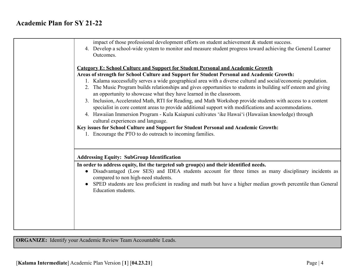| impact of those professional development efforts on student achievement $\&$ student success.<br>4. Develop a school-wide system to monitor and measure student progress toward achieving the General Learner<br>Outcomes.                                                                                                                                                                                                                                                                                                                                                                                                                                                                                                                                                                                                                                                                                                                                                                                                 |
|----------------------------------------------------------------------------------------------------------------------------------------------------------------------------------------------------------------------------------------------------------------------------------------------------------------------------------------------------------------------------------------------------------------------------------------------------------------------------------------------------------------------------------------------------------------------------------------------------------------------------------------------------------------------------------------------------------------------------------------------------------------------------------------------------------------------------------------------------------------------------------------------------------------------------------------------------------------------------------------------------------------------------|
| <b>Category E: School Culture and Support for Student Personal and Academic Growth</b><br>Areas of strength for School Culture and Support for Student Personal and Academic Growth:<br>1. Kalama successfully serves a wide geographical area with a diverse cultural and social/economic population.<br>2. The Music Program builds relationships and gives opportunities to students in building self esteem and giving<br>an opportunity to showcase what they have learned in the classroom.<br>3. Inclusion, Accelerated Math, RTI for Reading, and Math Workshop provide students with access to a content<br>specialist in core content areas to provide additional support with modifications and accommodations.<br>4. Hawaiian Immersion Program - Kula Kaiapuni cultivates 'ike Hawai'i (Hawaiian knowledge) through<br>cultural experiences and language.<br>Key issues for School Culture and Support for Student Personal and Academic Growth:<br>1. Encourage the PTO to do outreach to incoming families. |
| <b>Addressing Equity: SubGroup Identification</b><br>In order to address equity, list the targeted sub group(s) and their identified needs.<br>Disadvantaged (Low SES) and IDEA students account for three times as many disciplinary incidents as<br>$\bullet$<br>compared to non high-need students.<br>SPED students are less proficient in reading and math but have a higher median growth percentile than General<br>Education students.                                                                                                                                                                                                                                                                                                                                                                                                                                                                                                                                                                             |

**ORGANIZE:** Identify your Academic Review Team Accountable Leads.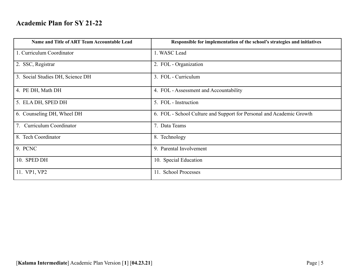| Name and Title of ART Team Accountable Lead | Responsible for implementation of the school's strategies and initiatives |
|---------------------------------------------|---------------------------------------------------------------------------|
| 1. Curriculum Coordinator                   | 1. WASC Lead                                                              |
| 2. SSC, Registrar                           | 2. FOL - Organization                                                     |
| 3. Social Studies DH, Science DH            | 3. FOL - Curriculum                                                       |
| 4. PE DH, Math DH                           | 4. FOL - Assessment and Accountability                                    |
| 5. ELA DH, SPED DH                          | 5. FOL - Instruction                                                      |
| 6. Counseling DH, Wheel DH                  | 6. FOL - School Culture and Support for Personal and Academic Growth      |
| 7. Curriculum Coordinator                   | 7. Data Teams                                                             |
| 8. Tech Coordinator                         | 8. Technology                                                             |
| 9. PCNC                                     | 9. Parental Involvement                                                   |
| 10. SPED DH                                 | 10. Special Education                                                     |
| 11. VP1, VP2                                | 11. School Processes                                                      |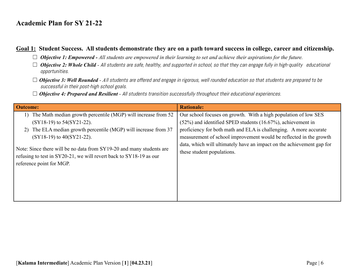#### Goal 1: Student Success. All students demonstrate they are on a path toward success in college, career and citizenship.

- ☐ *Objective 1: Empowered - All students are empowered in their learning to set and achieve their aspirations for the future.*
- □ **Objective 2: Whole Child** All students are safe, healthy, and supported in school, so that they can engage fully in high-quality educational opportunities.
- □ **Objective 3: Well Rounded** All students are offered and engage in rigorous, well rounded education so that students are prepared to be successful in their post-high school goals.
- □ **Objective 4: Prepared and Resilient** All students transition successfully throughout their educational experiences.

| 1) The Math median growth percentile (MGP) will increase from 52                                                                                                                                                                                                                                                                    |                                                                                                                                                                                                                                                                                                                                                           |
|-------------------------------------------------------------------------------------------------------------------------------------------------------------------------------------------------------------------------------------------------------------------------------------------------------------------------------------|-----------------------------------------------------------------------------------------------------------------------------------------------------------------------------------------------------------------------------------------------------------------------------------------------------------------------------------------------------------|
| (SY18-19) to 54(SY21-22).<br>The ELA median growth percentile (MGP) will increase from 37<br>$(SY18-19)$ to $40(SY21-22)$ .<br>Note: Since there will be no data from SY19-20 and many students are<br>these student populations.<br>refusing to test in SY20-21, we will revert back to SY18-19 as our<br>reference point for MGP. | Our school focuses on growth. With a high population of low SES<br>$(52\%)$ and identified SPED students $(16.67\%)$ , achievement in<br>proficiency for both math and ELA is challenging. A more accurate<br>measurement of school improvement would be reflected in the growth<br>data, which will ultimately have an impact on the achievement gap for |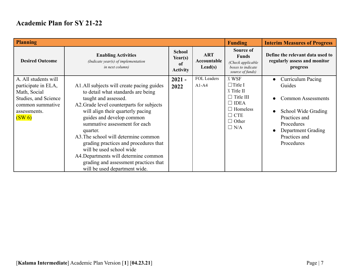| <b>Planning</b>                                                                                                                   |                                                                                                                                                                                                                                                                                                                                                                                                                                                                                                      |                                                   |                                               | <b>Funding</b>                                                                                                                          | <b>Interim Measures of Progress</b>                                                                                                                                        |
|-----------------------------------------------------------------------------------------------------------------------------------|------------------------------------------------------------------------------------------------------------------------------------------------------------------------------------------------------------------------------------------------------------------------------------------------------------------------------------------------------------------------------------------------------------------------------------------------------------------------------------------------------|---------------------------------------------------|-----------------------------------------------|-----------------------------------------------------------------------------------------------------------------------------------------|----------------------------------------------------------------------------------------------------------------------------------------------------------------------------|
| <b>Desired Outcome</b>                                                                                                            | <b>Enabling Activities</b><br>(Indicate year(s) of implementation<br><i>in next column)</i>                                                                                                                                                                                                                                                                                                                                                                                                          | <b>School</b><br>Year(s)<br>of<br><b>Activity</b> | <b>ART</b><br>Accountable<br>$\text{Lead}(s)$ | Source of<br><b>Funds</b><br>(Check applicable<br>boxes to indicate<br>source of funds)                                                 | Define the relevant data used to<br>regularly assess and monitor<br>progress                                                                                               |
| A. All students will<br>participate in ELA,<br>Math, Social<br>Studies, and Science<br>common summative<br>assessments.<br>(SW 6) | A1. All subjects will create pacing guides<br>to detail what standards are being<br>taught and assessed.<br>A2. Grade level counterparts for subjects<br>will align their quarterly pacing<br>guides and develop common<br>summative assessment for each<br>quarter.<br>A3. The school will determine common<br>grading practices and procedures that<br>will be used school wide<br>A4. Departments will determine common<br>grading and assessment practices that<br>will be used department wide. | $2021 -$<br>2022                                  | FOL Leaders<br>$A1-A4$                        | X WSF<br>$\Box$ Title I<br>X Title II<br>$\Box$ Title III<br>$\Box$ IDEA<br>$\Box$ Homeless<br>$\Box$ CTE<br>$\Box$ Other<br>$\Box$ N/A | <b>Curriculum Pacing</b><br>Guides<br><b>Common Assessments</b><br>School Wide Grading<br>Practices and<br>Procedures<br>Department Grading<br>Practices and<br>Procedures |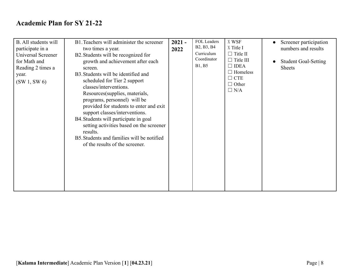| B. All students will<br>participate in a<br>Universal Screener<br>for Math and<br>Reading 2 times a<br>year.<br>(SW1, SW6) | B1. Teachers will administer the screener<br>two times a year.<br>B2. Students will be recognized for<br>growth and achievement after each<br>screen.<br>B3. Students will be identified and<br>scheduled for Tier 2 support<br>classes/interventions.<br>Resources (supplies, materials,<br>programs, personnel) will be<br>provided for students to enter and exit<br>support classes/interventions.<br>B4. Students will participate in goal<br>setting activities based on the screener<br>results.<br>B5. Students and families will be notified<br>of the results of the screener. | $2021 -$<br>2022 | B <sub>2</sub> , B <sub>3</sub> , B <sub>4</sub><br>Curriculum<br>Coordinator<br>B1, B5 | X WSF<br>X Title I<br>$\Box$ Title II<br>$\Box$ Title III<br>$\Box$ IDEA<br>$\Box$ Homeless<br>$\Box$ CTE<br>$\Box$ Other<br>$\Box$ N/A | Screener participation<br>$\bullet$<br>numbers and results<br><b>Student Goal-Setting</b><br>$\bullet$<br><b>Sheets</b> |
|----------------------------------------------------------------------------------------------------------------------------|------------------------------------------------------------------------------------------------------------------------------------------------------------------------------------------------------------------------------------------------------------------------------------------------------------------------------------------------------------------------------------------------------------------------------------------------------------------------------------------------------------------------------------------------------------------------------------------|------------------|-----------------------------------------------------------------------------------------|-----------------------------------------------------------------------------------------------------------------------------------------|-------------------------------------------------------------------------------------------------------------------------|
|----------------------------------------------------------------------------------------------------------------------------|------------------------------------------------------------------------------------------------------------------------------------------------------------------------------------------------------------------------------------------------------------------------------------------------------------------------------------------------------------------------------------------------------------------------------------------------------------------------------------------------------------------------------------------------------------------------------------------|------------------|-----------------------------------------------------------------------------------------|-----------------------------------------------------------------------------------------------------------------------------------------|-------------------------------------------------------------------------------------------------------------------------|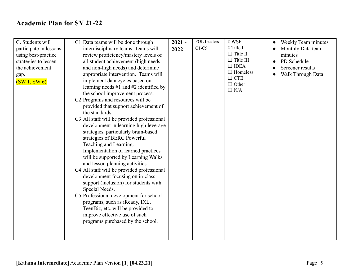| C. Students will       | C1. Data teams will be done through         | $2021 -$ | FOL Leaders | X WSF            | Weekly Team minutes |
|------------------------|---------------------------------------------|----------|-------------|------------------|---------------------|
| participate in lessons | interdisciplinary teams. Teams will         |          | $C1-C5$     | X Title I        | Monthly Data team   |
|                        |                                             | 2022     |             | $\Box$ Title II  | minutes             |
| using best-practice    | review proficiency/mastery levels of        |          |             | $\Box$ Title III |                     |
| strategies to lessen   | all student achievement (high needs         |          |             | $\Box$ IDEA      | PD Schedule         |
| the achievement        | and non-high needs) and determine           |          |             | $\Box$ Homeless  | Screener results    |
| gap.                   | appropriate intervention. Teams will        |          |             | $\Box$ CTE       | Walk Through Data   |
| (SW1, SW6)             | implement data cycles based on              |          |             | $\Box$ Other     |                     |
|                        | learning needs $#1$ and $#2$ identified by  |          |             | $\Box$ N/A       |                     |
|                        | the school improvement process.             |          |             |                  |                     |
|                        | C2. Programs and resources will be          |          |             |                  |                     |
|                        | provided that support achievement of        |          |             |                  |                     |
|                        | the standards.                              |          |             |                  |                     |
|                        | C3. All staff will be provided professional |          |             |                  |                     |
|                        | development in learning high leverage       |          |             |                  |                     |
|                        | strategies, particularly brain-based        |          |             |                  |                     |
|                        | strategies of BERC Powerful                 |          |             |                  |                     |
|                        | Teaching and Learning.                      |          |             |                  |                     |
|                        | Implementation of learned practices         |          |             |                  |                     |
|                        | will be supported by Learning Walks         |          |             |                  |                     |
|                        | and lesson planning activities.             |          |             |                  |                     |
|                        | C4. All staff will be provided professional |          |             |                  |                     |
|                        | development focusing on in-class            |          |             |                  |                     |
|                        | support (inclusion) for students with       |          |             |                  |                     |
|                        | Special Needs.                              |          |             |                  |                     |
|                        | C5. Professional development for school     |          |             |                  |                     |
|                        |                                             |          |             |                  |                     |
|                        | programs, such as iReady, IXL,              |          |             |                  |                     |
|                        | TeenBiz, etc. will be provided to           |          |             |                  |                     |
|                        | improve effective use of such               |          |             |                  |                     |
|                        | programs purchased by the school.           |          |             |                  |                     |
|                        |                                             |          |             |                  |                     |
|                        |                                             |          |             |                  |                     |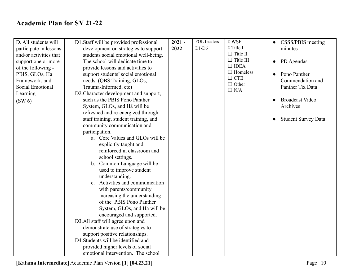| D. All students will<br>participate in lessons<br>and/or activities that | D1. Staff will be provided professional<br>development on strategies to support<br>students social emotional well-being. | $2021 -$<br>2022 | <b>FOL Leaders</b><br>$D1-D6$ | X WSF<br>X Title I<br>$\Box$ Title II | CSSS/PBIS meeting<br>$\bullet$<br>minutes |
|--------------------------------------------------------------------------|--------------------------------------------------------------------------------------------------------------------------|------------------|-------------------------------|---------------------------------------|-------------------------------------------|
| support one or more                                                      | The school will dedicate time to                                                                                         |                  |                               | $\Box$ Title III                      | PD Agendas<br>$\bullet$                   |
| of the following -                                                       | provide lessons and activities to                                                                                        |                  |                               | $\Box$ IDEA                           |                                           |
| PBIS, GLOs, Ha                                                           | support students' social emotional                                                                                       |                  |                               | $\Box$ Homeless                       | Pono Panther                              |
| Framework, and                                                           | needs. (QBS Training, GLOs,                                                                                              |                  |                               | $\Box$ CTE                            | Commendation and                          |
| Social Emotional                                                         | Trauma-Informed, etc)                                                                                                    |                  |                               | $\Box$ Other<br>$\Box$ N/A            | Panther Tix Data                          |
| Learning                                                                 | D2. Character development and support,                                                                                   |                  |                               |                                       |                                           |
| (SW 6)                                                                   | such as the PBIS Pono Panther                                                                                            |                  |                               |                                       | <b>Broadcast Video</b>                    |
|                                                                          | System, GLOs, and Ha will be                                                                                             |                  |                               |                                       | Archives                                  |
|                                                                          | refreshed and re-energized through                                                                                       |                  |                               |                                       |                                           |
|                                                                          | staff training, student training, and                                                                                    |                  |                               |                                       | <b>Student Survey Data</b>                |
|                                                                          | community communication and                                                                                              |                  |                               |                                       |                                           |
|                                                                          | participation.                                                                                                           |                  |                               |                                       |                                           |
|                                                                          | a. Core Values and GLOs will be                                                                                          |                  |                               |                                       |                                           |
|                                                                          | explicitly taught and                                                                                                    |                  |                               |                                       |                                           |
|                                                                          | reinforced in classroom and                                                                                              |                  |                               |                                       |                                           |
|                                                                          | school settings.                                                                                                         |                  |                               |                                       |                                           |
|                                                                          | b. Common Language will be                                                                                               |                  |                               |                                       |                                           |
|                                                                          | used to improve student                                                                                                  |                  |                               |                                       |                                           |
|                                                                          | understanding.                                                                                                           |                  |                               |                                       |                                           |
|                                                                          | c. Activities and communication                                                                                          |                  |                               |                                       |                                           |
|                                                                          | with parents/community                                                                                                   |                  |                               |                                       |                                           |
|                                                                          | increasing the understanding                                                                                             |                  |                               |                                       |                                           |
|                                                                          | of the PBIS Pono Panther                                                                                                 |                  |                               |                                       |                                           |
|                                                                          | System, GLOs, and Ha will be                                                                                             |                  |                               |                                       |                                           |
|                                                                          | encouraged and supported.                                                                                                |                  |                               |                                       |                                           |
|                                                                          | D3.All staff will agree upon and                                                                                         |                  |                               |                                       |                                           |
|                                                                          | demonstrate use of strategies to                                                                                         |                  |                               |                                       |                                           |
|                                                                          | support positive relationships.                                                                                          |                  |                               |                                       |                                           |
|                                                                          | D4. Students will be identified and                                                                                      |                  |                               |                                       |                                           |
|                                                                          | provided higher levels of social                                                                                         |                  |                               |                                       |                                           |
|                                                                          | emotional intervention. The school                                                                                       |                  |                               |                                       |                                           |

[**Kalama Intermediate**] Academic Plan Version [**1**] [**04.23.21**] Page | 10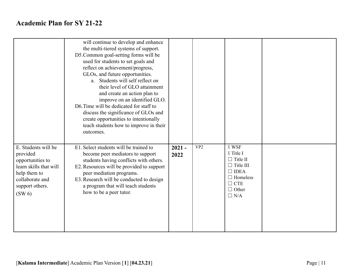|                                                                                                                                                 | will continue to develop and enhance<br>the multi-tiered systems of support.<br>D5. Common goal-setting forms will be<br>used for students to set goals and<br>reflect on achievement/progress,<br>GLOs, and future opportunities.<br>a. Students will self reflect on<br>their level of GLO attainment<br>and create an action plan to<br>improve on an identified GLO.<br>D6. Time will be dedicated for staff to<br>discuss the significance of GLOs and<br>create opportunities to intentionally<br>teach students how to improve in their<br>outcomes. |                  |                 |                                                                                                                                         |  |
|-------------------------------------------------------------------------------------------------------------------------------------------------|-------------------------------------------------------------------------------------------------------------------------------------------------------------------------------------------------------------------------------------------------------------------------------------------------------------------------------------------------------------------------------------------------------------------------------------------------------------------------------------------------------------------------------------------------------------|------------------|-----------------|-----------------------------------------------------------------------------------------------------------------------------------------|--|
| E. Students will be<br>provided<br>opportunities to<br>learn skills that will<br>help them to<br>collaborate and<br>support others.<br>$(SW_0)$ | E1. Select students will be trained to<br>become peer mediators to support<br>students having conflicts with others.<br>E2. Resources will be provided to support<br>peer mediation programs.<br>E3. Research will be conducted to design<br>a program that will teach students<br>how to be a peer tutor.                                                                                                                                                                                                                                                  | $2021 -$<br>2022 | VP <sub>2</sub> | X WSF<br>X Title I<br>$\Box$ Title II<br>$\Box$ Title III<br>$\Box$ IDEA<br>$\Box$ Homeless<br>$\Box$ CTE<br>$\Box$ Other<br>$\Box$ N/A |  |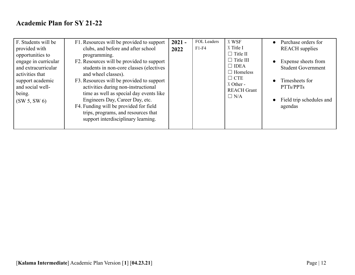| F. Students will be<br>provided with<br>opportunities to<br>engage in curricular<br>and extracurricular<br>activities that<br>support academic<br>and social well-<br>being.<br>(SW 5, SW 6) | F1. Resources will be provided to support<br>clubs, and before and after school<br>programming.<br>F2. Resources will be provided to support<br>students in non-core classes (electives<br>and wheel classes).<br>F3. Resources will be provided to support<br>activities during non-instructional<br>time as well as special day events like<br>Engineers Day, Career Day, etc.<br>F4. Funding will be provided for field<br>trips, programs, and resources that<br>support interdisciplinary learning. | $2021 -$<br>2022 | <b>FOL Leaders</b><br>$F1-F4$ | X WSF<br>X Title I<br>$\Box$ Title II<br>$\Box$ Title III<br>$\Box$ IDEA<br>$\Box$ Homeless<br>$\Box$ CTE<br>X Other -<br><b>REACH Grant</b><br>$\Box$ N/A | Purchase orders for<br>$\bullet$<br><b>REACH</b> supplies<br>Expense sheets from<br>$\bullet$<br><b>Student Government</b><br>Timesheets for<br>PTTs/PPTs<br>Field trip schedules and<br>$\bullet$<br>agendas |
|----------------------------------------------------------------------------------------------------------------------------------------------------------------------------------------------|----------------------------------------------------------------------------------------------------------------------------------------------------------------------------------------------------------------------------------------------------------------------------------------------------------------------------------------------------------------------------------------------------------------------------------------------------------------------------------------------------------|------------------|-------------------------------|------------------------------------------------------------------------------------------------------------------------------------------------------------|---------------------------------------------------------------------------------------------------------------------------------------------------------------------------------------------------------------|
|----------------------------------------------------------------------------------------------------------------------------------------------------------------------------------------------|----------------------------------------------------------------------------------------------------------------------------------------------------------------------------------------------------------------------------------------------------------------------------------------------------------------------------------------------------------------------------------------------------------------------------------------------------------------------------------------------------------|------------------|-------------------------------|------------------------------------------------------------------------------------------------------------------------------------------------------------|---------------------------------------------------------------------------------------------------------------------------------------------------------------------------------------------------------------|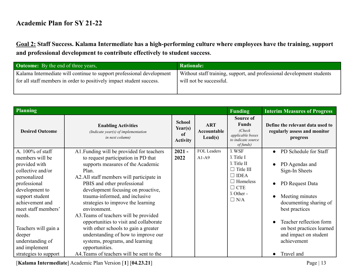Goal 2: Staff Success. Kalama Intermediate has a high-performing culture where employees have the training, support **and professional development to contribute effectively to student success**.

| <b>Outcome:</b> By the end of three years,                            | <b>Rationale:</b>                                                      |
|-----------------------------------------------------------------------|------------------------------------------------------------------------|
| Kalama Intermediate will continue to support professional development | Without staff training, support, and professional development students |
| for all staff members in order to positively impact student success.  | will not be successful.                                                |
|                                                                       |                                                                        |

| Planning                                                                                                                                                                                                                             |                                                                                                                                                                                                                                                                                                                                                                                                                                                                                                   |                                                   |                                               | <b>Funding</b>                                                                                                         | <b>Interim Measures of Progress</b>                                                                                                                                                                                |
|--------------------------------------------------------------------------------------------------------------------------------------------------------------------------------------------------------------------------------------|---------------------------------------------------------------------------------------------------------------------------------------------------------------------------------------------------------------------------------------------------------------------------------------------------------------------------------------------------------------------------------------------------------------------------------------------------------------------------------------------------|---------------------------------------------------|-----------------------------------------------|------------------------------------------------------------------------------------------------------------------------|--------------------------------------------------------------------------------------------------------------------------------------------------------------------------------------------------------------------|
| <b>Desired Outcome</b>                                                                                                                                                                                                               | <b>Enabling Activities</b><br>(Indicate year(s) of implementation<br>in next column)                                                                                                                                                                                                                                                                                                                                                                                                              | <b>School</b><br>Year(s)<br>of<br><b>Activity</b> | <b>ART</b><br>Accountable<br>$\text{Lead}(s)$ | Source of<br><b>Funds</b><br>(Check)<br>applicable boxes<br>to indicate source<br>of funds)                            | Define the relevant data used to<br>regularly assess and monitor<br>progress                                                                                                                                       |
| A. 100% of staff                                                                                                                                                                                                                     | A1. Funding will be provided for teachers                                                                                                                                                                                                                                                                                                                                                                                                                                                         | $2021 -$                                          | <b>FOL Leaders</b>                            | X WSF                                                                                                                  | PD Schedule for Staff                                                                                                                                                                                              |
| members will be<br>provided with<br>collective and/or<br>personalized<br>professional<br>development to<br>support student<br>achievement and<br>meet staff members'<br>needs.<br>Teachers will gain a<br>deeper<br>understanding of | to request participation in PD that<br>supports measures of the Academic<br>Plan.<br>A2. All staff members will participate in<br>PBIS and other professional<br>development focusing on proactive,<br>trauma-informed, and inclusive<br>strategies to improve the learning<br>environment.<br>A3. Teams of teachers will be provided<br>opportunities to visit and collaborate<br>with other schools to gain a greater<br>understanding of how to improve our<br>systems, programs, and learning | 2022                                              | $A1-A9$                                       | X Title I<br>X Title II<br>$\Box$ Title III<br>$\Box$ IDEA<br>$\Box$ Homeless<br>$\Box$ CTE<br>X Other -<br>$\Box$ N/A | PD Agendas and<br>Sign-In Sheets<br>PD Request Data<br>Meeting minutes<br>documenting sharing of<br>best practices<br>Teacher reflection form<br>on best practices learned<br>and impact on student<br>achievement |
| and implement<br>strategies to support                                                                                                                                                                                               | opportunities.<br>A4. Teams of teachers will be sent to the                                                                                                                                                                                                                                                                                                                                                                                                                                       |                                                   |                                               |                                                                                                                        | Travel and                                                                                                                                                                                                         |

[**Kalama Intermediate**] Academic Plan Version [**1**] [**04.23.21**] Page | 13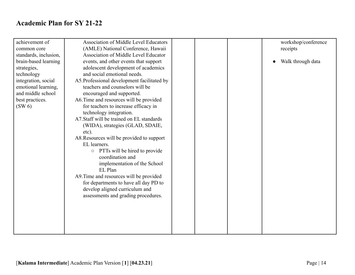| achievement of        | <b>Association of Middle Level Educators</b> |  | workshop/conference |
|-----------------------|----------------------------------------------|--|---------------------|
| common core           | (AMLE) National Conference, Hawaii           |  | receipts            |
| standards, inclusion, | Association of Middle Level Educator         |  |                     |
| brain-based learning  | events, and other events that support        |  | Walk through data   |
| strategies,           | adolescent development of academics          |  |                     |
| technology            | and social emotional needs.                  |  |                     |
| integration, social   | A5. Professional development facilitated by  |  |                     |
| emotional learning,   | teachers and counselors will be              |  |                     |
| and middle school     | encouraged and supported.                    |  |                     |
| best practices.       | A6. Time and resources will be provided      |  |                     |
| $(SW_0)$              | for teachers to increase efficacy in         |  |                     |
|                       | technology integration.                      |  |                     |
|                       | A7. Staff will be trained on EL standards    |  |                     |
|                       | (WIDA), strategies (GLAD, SDAIE,             |  |                     |
|                       | etc).                                        |  |                     |
|                       | A8. Resources will be provided to support    |  |                     |
|                       | EL learners.                                 |  |                     |
|                       | PTTs will be hired to provide<br>$\circ$     |  |                     |
|                       | coordination and                             |  |                     |
|                       | implementation of the School                 |  |                     |
|                       | EL Plan                                      |  |                     |
|                       | A9. Time and resources will be provided      |  |                     |
|                       | for departments to have all day PD to        |  |                     |
|                       | develop aligned curriculum and               |  |                     |
|                       | assessments and grading procedures.          |  |                     |
|                       |                                              |  |                     |
|                       |                                              |  |                     |
|                       |                                              |  |                     |
|                       |                                              |  |                     |
|                       |                                              |  |                     |
|                       |                                              |  |                     |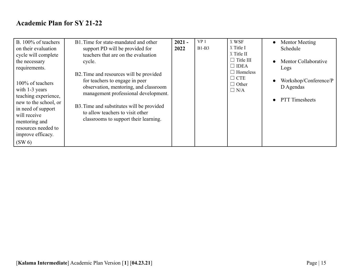| B. 100% of teachers<br>on their evaluation<br>cycle will complete<br>the necessary                                                                                                                                  | B1. Time for state-mandated and other<br>support PD will be provided for<br>teachers that are on the evaluation<br>cycle.                                                                                                                                                            | $2021 -$<br>2022 | VP <sub>1</sub><br>$B1-B3$ | X WSF<br>X Title I<br>X Title II<br>$\Box$ Title III<br>$\Box$ IDEA | <b>Mentor Meeting</b><br>$\bullet$<br>Schedule<br>Mentor Collaborative |
|---------------------------------------------------------------------------------------------------------------------------------------------------------------------------------------------------------------------|--------------------------------------------------------------------------------------------------------------------------------------------------------------------------------------------------------------------------------------------------------------------------------------|------------------|----------------------------|---------------------------------------------------------------------|------------------------------------------------------------------------|
| requirements.<br>100% of teachers<br>with 1-3 years<br>teaching experience,<br>new to the school, or<br>in need of support<br>will receive<br>mentoring and<br>resources needed to<br>improve efficacy.<br>$(SW_6)$ | B2. Time and resources will be provided<br>for teachers to engage in peer<br>observation, mentoring, and classroom<br>management professional development.<br>B3. Time and substitutes will be provided<br>to allow teachers to visit other<br>classrooms to support their learning. |                  |                            | $\Box$ Homeless<br>$\Box$ CTE<br>$\Box$ Other<br>$\Box$ N/A         | Logs<br>Workshop/Conference/P<br>D Agendas<br><b>PTT</b> Timesheets    |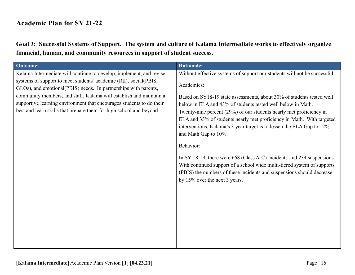Goal 3: Successful Systems of Support. The system and culture of Kalama Intermediate works to effectively organize **financial, human, and community resources in support of student success.**

| <b>Outcome:</b>                                                                                                                                                                                                   | <b>Rationale:</b>                                                                                                                                                                                                                                                                                                                                                                     |
|-------------------------------------------------------------------------------------------------------------------------------------------------------------------------------------------------------------------|---------------------------------------------------------------------------------------------------------------------------------------------------------------------------------------------------------------------------------------------------------------------------------------------------------------------------------------------------------------------------------------|
| Kalama Intermediate will continue to develop, implement, and revise                                                                                                                                               | Without effective systems of support our students will not be successful.                                                                                                                                                                                                                                                                                                             |
| systems of support to meet students' academic (RtI), social(PBIS,<br>GLOs), and emotional (PBIS) needs. In partnerships with parents,                                                                             | Academics:                                                                                                                                                                                                                                                                                                                                                                            |
| community members, and staff, Kalama will establish and maintain a<br>supportive learning environment that encourages students to do their<br>best and learn skills that prepare them for high school and beyond. | Based on SY18-19 state assessments, about 30% of students tested well<br>below in ELA and 43% of students tested well below in Math.<br>Twenty-nine percent (29%) of our students nearly met proficiency in<br>ELA and 33% of students nearly met proficiency in Math. With targeted<br>interventions, Kalama's 3 year target is to lessen the ELA Gap to 12%<br>and Math Gap to 10%. |
|                                                                                                                                                                                                                   | Behavior:                                                                                                                                                                                                                                                                                                                                                                             |
|                                                                                                                                                                                                                   | In SY 18-19, there were 668 (Class A-C) incidents and 234 suspensions.<br>With continued support of a school wide multi-tiered system of supports<br>(PBIS) the numbers of these incidents and suspensions should decrease<br>by 15% over the next 3 years.                                                                                                                           |
|                                                                                                                                                                                                                   |                                                                                                                                                                                                                                                                                                                                                                                       |
|                                                                                                                                                                                                                   |                                                                                                                                                                                                                                                                                                                                                                                       |
|                                                                                                                                                                                                                   |                                                                                                                                                                                                                                                                                                                                                                                       |
|                                                                                                                                                                                                                   |                                                                                                                                                                                                                                                                                                                                                                                       |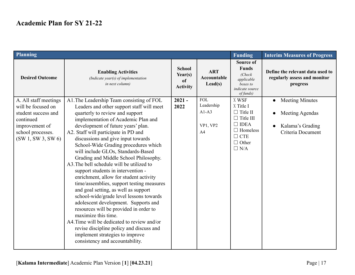| Planning                                                                                                                                  |                                                                                                                                                                                                                                                                                                                                                                                                                                                                                                                                                                                                                                                                                                                                                                                                                                                                                                                                                    |                                                   |                                                                   |                                                                                                                                         | <b>Interim Measures of Progress</b>                                                |
|-------------------------------------------------------------------------------------------------------------------------------------------|----------------------------------------------------------------------------------------------------------------------------------------------------------------------------------------------------------------------------------------------------------------------------------------------------------------------------------------------------------------------------------------------------------------------------------------------------------------------------------------------------------------------------------------------------------------------------------------------------------------------------------------------------------------------------------------------------------------------------------------------------------------------------------------------------------------------------------------------------------------------------------------------------------------------------------------------------|---------------------------------------------------|-------------------------------------------------------------------|-----------------------------------------------------------------------------------------------------------------------------------------|------------------------------------------------------------------------------------|
| <b>Desired Outcome</b>                                                                                                                    | <b>Enabling Activities</b><br>(Indicate year(s) of implementation<br>in next column)                                                                                                                                                                                                                                                                                                                                                                                                                                                                                                                                                                                                                                                                                                                                                                                                                                                               | <b>School</b><br>Year(s)<br>of<br><b>Activity</b> | <b>ART</b><br>Accountable<br>$\text{Lead}(s)$                     | <b>Source of</b><br><b>Funds</b><br>(Check)<br>applicable<br>boxes to<br><i>indicate source</i><br>of funds)                            | Define the relevant data used to<br>regularly assess and monitor<br>progress       |
| A. All staff meetings<br>will be focused on<br>student success and<br>continued<br>improvement of<br>school processes.<br>(SW1, SW3, SW6) | A1. The Leadership Team consisting of FOL<br>Leaders and other support staff will meet<br>quarterly to review and support<br>implementation of Academic Plan and<br>development of future years' plan.<br>A2. Staff will participate in PD and<br>discussions and give input towards<br>School-Wide Grading procedures which<br>will include GLOs, Standards-Based<br>Grading and Middle School Philosophy.<br>A3. The bell schedule will be utilized to<br>support students in intervention -<br>enrichment, allow for student activity<br>time/assemblies, support testing measures<br>and goal setting, as well as support<br>school-wide/grade level lessons towards<br>adolescent development. Supports and<br>resources will be provided in order to<br>maximize this time.<br>A4. Time will be dedicated to review and/or<br>revise discipline policy and discuss and<br>implement strategies to improve<br>consistency and accountability. | $2021 -$<br>2022                                  | <b>FOL</b><br>Leadership<br>$A1-A3$<br>VP1, VP2<br>A <sub>4</sub> | X WSF<br>X Title I<br>$\Box$ Title II<br>$\Box$ Title III<br>$\Box$ IDEA<br>$\Box$ Homeless<br>$\Box$ CTE<br>$\Box$ Other<br>$\Box$ N/A | <b>Meeting Minutes</b><br>Meeting Agendas<br>Kalama's Grading<br>Criteria Document |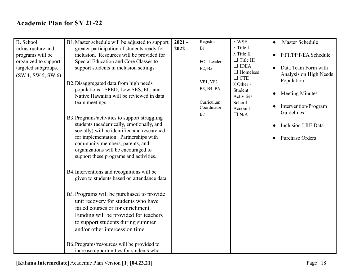| B. School            | B1. Master schedule will be adjusted to support | $2021 -$ | Registrar     | X WSF                   | Master Schedule<br>$\bullet$ |
|----------------------|-------------------------------------------------|----------|---------------|-------------------------|------------------------------|
| infrastructure and   | greater participation of students ready for     | 2022     | B1            | X Title I               |                              |
| programs will be     | inclusion. Resources will be provided for       |          |               | X Title II              | PTT/PPT/EA Schedule          |
| organized to support | Special Education and Core Classes to           |          | FOL Leaders   | $\Box$ Title III        |                              |
| targeted subgroups.  | support students in inclusion settings.         |          | <b>B2, B5</b> | $\Box$ IDEA             | Data Team Form with          |
| (SW1, SW5, SW6)      |                                                 |          |               | $\Box$ Homeless         | Analysis on High Needs       |
|                      | B2. Disaggregated data from high needs          |          | VP1, VP2      | $\Box$ CTE<br>X Other - | Population                   |
|                      | populations - SPED, Low SES, EL, and            |          | B3, B4, B6    | Student                 |                              |
|                      | Native Hawaiian will be reviewed in data        |          |               | Activities              | <b>Meeting Minutes</b>       |
|                      | team meetings.                                  |          | Curriculum    | School                  |                              |
|                      |                                                 |          | Coordinator   | Account                 | Intervention/Program         |
|                      | B3. Programs/activities to support struggling   |          | B7            | $\Box$ N/A              | Guidelines                   |
|                      | students (academically, emotionally, and        |          |               |                         |                              |
|                      | socially) will be identified and researched     |          |               |                         | <b>Inclusion LRE Data</b>    |
|                      | for implementation. Partnerships with           |          |               |                         | Purchase Orders              |
|                      | community members, parents, and                 |          |               |                         |                              |
|                      | organizations will be encouraged to             |          |               |                         |                              |
|                      | support these programs and activities.          |          |               |                         |                              |
|                      |                                                 |          |               |                         |                              |
|                      | B4. Interventions and recognitions will be      |          |               |                         |                              |
|                      | given to students based on attendance data.     |          |               |                         |                              |
|                      |                                                 |          |               |                         |                              |
|                      |                                                 |          |               |                         |                              |
|                      | B5. Programs will be purchased to provide       |          |               |                         |                              |
|                      | unit recovery for students who have             |          |               |                         |                              |
|                      | failed courses or for enrichment.               |          |               |                         |                              |
|                      | Funding will be provided for teachers           |          |               |                         |                              |
|                      | to support students during summer               |          |               |                         |                              |
|                      | and/or other intercession time.                 |          |               |                         |                              |
|                      |                                                 |          |               |                         |                              |
|                      | B6. Programs/resources will be provided to      |          |               |                         |                              |
|                      | increase opportunities for students who         |          |               |                         |                              |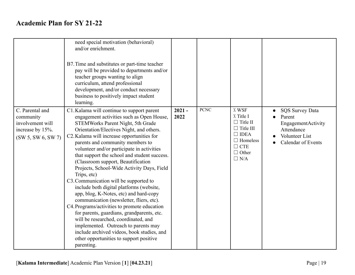|                                                                                            | need special motivation (behavioral)<br>and/or enrichment.<br>B7. Time and substitutes or part-time teacher<br>pay will be provided to departments and/or<br>teacher groups wanting to align<br>curriculum, attend professional<br>development, and/or conduct necessary<br>business to positively impact student<br>learning.                                                                                                                                                                                                                                                                                                                                                                                                                                                                                                                                                                                               |                  |             |                                                                                                                                         |                                                                                                              |
|--------------------------------------------------------------------------------------------|------------------------------------------------------------------------------------------------------------------------------------------------------------------------------------------------------------------------------------------------------------------------------------------------------------------------------------------------------------------------------------------------------------------------------------------------------------------------------------------------------------------------------------------------------------------------------------------------------------------------------------------------------------------------------------------------------------------------------------------------------------------------------------------------------------------------------------------------------------------------------------------------------------------------------|------------------|-------------|-----------------------------------------------------------------------------------------------------------------------------------------|--------------------------------------------------------------------------------------------------------------|
| C. Parental and<br>community<br>involvement will<br>increase by 15%.<br>(SW 5, SW 6, SW 7) | C1. Kalama will continue to support parent<br>engagement activities such as Open House,<br>STEMWorks Parent Night, 5th Grade<br>Orientation/Electives Night, and others.<br>C2. Kalama will increase opportunities for<br>parents and community members to<br>volunteer and/or participate in activities<br>that support the school and student success.<br>(Classroom support, Beautification<br>Projects, School-Wide Activity Days, Field<br>Trips, etc)<br>C3. Communication will be supported to<br>include both digital platforms (website,<br>app, blog, K-Notes, etc) and hard-copy<br>communication (newsletter, fliers, etc).<br>C4. Programs/activities to promote education<br>for parents, guardians, grandparents, etc.<br>will be researched, coordinated, and<br>implemented. Outreach to parents may<br>include archived videos, book studies, and<br>other opportunities to support positive<br>parenting. | $2021 -$<br>2022 | <b>PCNC</b> | X WSF<br>X Title I<br>$\Box$ Title II<br>$\Box$ Title III<br>$\Box$ IDEA<br>$\Box$ Homeless<br>$\Box$ CTE<br>$\Box$ Other<br>$\Box$ N/A | <b>SQS Survey Data</b><br>Parent<br>EngagementActivity<br>Attendance<br>Volunteer List<br>Calendar of Events |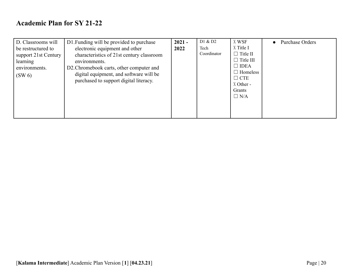| D. Classrooms will<br>be restructured to<br>support 21st Century<br>learning<br>environments.<br>$(SW_0)$ | D1. Funding will be provided to purchase<br>electronic equipment and other<br>characteristics of 21st century classroom<br>environments.<br>D2. Chromebook carts, other computer and<br>digital equipment, and software will be<br>purchased to support digital literacy. | $2021 -$<br>2022 | D1 & D2<br>Tech<br>Coordinator | X WSF<br>X Title I<br>$\Box$ Title II<br>$\Box$ Title III<br>$\Box$ IDEA<br>$\Box$ Homeless<br>$\Box$ CTE<br>X Other -<br>Grants<br>$\Box$ N/A | Purchase Orders<br>$\bullet$ |
|-----------------------------------------------------------------------------------------------------------|---------------------------------------------------------------------------------------------------------------------------------------------------------------------------------------------------------------------------------------------------------------------------|------------------|--------------------------------|------------------------------------------------------------------------------------------------------------------------------------------------|------------------------------|
|                                                                                                           |                                                                                                                                                                                                                                                                           |                  |                                |                                                                                                                                                |                              |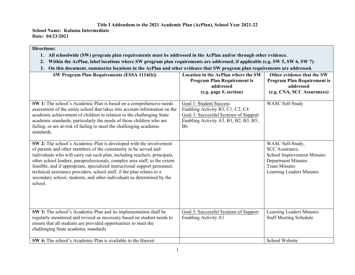#### **Title I Addendum to the 2021 Academic Plan (AcPlan), School Year 2021-22**

**School Name: Kalama Intermediate Date: 04/23/2021**

#### **Directions:**

- **1. All schoolwide (SW) program plan requirements must be addressed in the AcPlan and/or through other evidence.**
- **2. Within the AcPlan, label locations where SW program plan requirements are addressed, if applicable (e.g. SW 5, SW 6, SW 7).**
- **3. On this document, summarize locations in the AcPlan and other evidence that SW program plan requirements are addressed.**

| SW Program Plan Requirements (ESSA 1114(b))                                                                                                                                                                                                                                                                                                                                                                                                                                                                                                  | <b>Location in the AcPlan where the SW</b><br><b>Program Plan Requirement is</b><br>addressed<br>(e.g. page #, section)                                    | Other evidence that the SW<br><b>Program Plan Requirement is</b><br>addressed<br>(e.g. CNA, SCC Assurances)                                                    |
|----------------------------------------------------------------------------------------------------------------------------------------------------------------------------------------------------------------------------------------------------------------------------------------------------------------------------------------------------------------------------------------------------------------------------------------------------------------------------------------------------------------------------------------------|------------------------------------------------------------------------------------------------------------------------------------------------------------|----------------------------------------------------------------------------------------------------------------------------------------------------------------|
| SW 1: The school's Academic Plan is based on a comprehensive needs<br>assessment of the entire school that takes into account information on the<br>academic achievement of children in relation to the challenging State<br>academic standards, particularly the needs of those children who are<br>failing, or are at-risk of failing to meet the challenging academic<br>standards.                                                                                                                                                       | Goal 1: Student Success<br>Enabling Activity B3, C1, C2, C4<br>Goal 3: Successful Systems of Support<br>Enabling Activity A3, B1, B2, B3, B5,<br><b>B6</b> | <b>WASC Self-Study</b>                                                                                                                                         |
| SW 2: The school's Academic Plan is developed with the involvement<br>of parents and other members of the community to be served and<br>individuals who will carry out such plan, including teachers, principals,<br>other school leaders, paraprofessionals, complex area staff, to the extent<br>feasible, and if appropriate, specialized instructional support personnel,<br>technical assistance providers, school staff, if the plan relates to a<br>secondary school, students, and other individuals as determined by the<br>school. |                                                                                                                                                            | WASC Self-Study,<br><b>SCC</b> Assurance,<br><b>School Improvement Minutes</b><br><b>Department Minutes</b><br><b>Team Minutes</b><br>Learning Leaders Minutes |
| SW 3: The school's Academic Plan and its implementation shall be<br>regularly monitored and revised as necessary based on student needs to<br>ensure that all students are provided opportunities to meet the<br>challenging State academic standards                                                                                                                                                                                                                                                                                        | Goal 3: Successful Systems of Support<br>Enabling Activity A1                                                                                              | Learning Leaders Minutes<br><b>Staff Meeting Schedule</b>                                                                                                      |
| SW 4: The school's Academic Plan is available to the Hawaii                                                                                                                                                                                                                                                                                                                                                                                                                                                                                  |                                                                                                                                                            | School Website                                                                                                                                                 |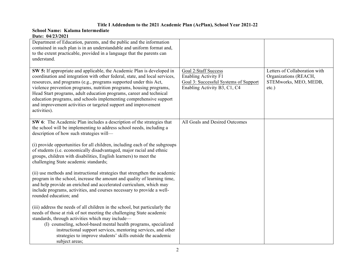#### **Title I Addendum to the 2021 Academic Plan (AcPlan), School Year 2021-22**

#### **School Name: Kalama Intermediate Date: 04/23/2021**

| Department of Education, parents, and the public and the information<br>contained in such plan is in an understandable and uniform format and,<br>to the extent practicable, provided in a language that the parents can<br>understand.                                                                                                                                                                                                                                                                                          |                                                                                                                              |                                                                                             |
|----------------------------------------------------------------------------------------------------------------------------------------------------------------------------------------------------------------------------------------------------------------------------------------------------------------------------------------------------------------------------------------------------------------------------------------------------------------------------------------------------------------------------------|------------------------------------------------------------------------------------------------------------------------------|---------------------------------------------------------------------------------------------|
| SW 5: If appropriate and applicable, the Academic Plan is developed in<br>coordination and integration with other federal, state, and local services,<br>resources, and programs (e.g., programs supported under this Act,<br>violence prevention programs, nutrition programs, housing programs,<br>Head Start programs, adult education programs, career and technical<br>education programs, and schools implementing comprehensive support<br>and improvement activities or targeted support and improvement<br>activities). | Goal 2:Staff Success<br><b>Enabling Activity F1</b><br>Goal 3: Successful Systems of Support<br>Enabling Activity B3, C1, C4 | Letters of Collaboration with<br>Organizations (REACH,<br>STEMworks, MEO, MEDB,<br>$etc.$ ) |
| SW 6: The Academic Plan includes a description of the strategies that<br>the school will be implementing to address school needs, including a<br>description of how such strategies will-                                                                                                                                                                                                                                                                                                                                        | All Goals and Desired Outcomes                                                                                               |                                                                                             |
| (i) provide opportunities for all children, including each of the subgroups<br>of students (i.e. economically disadvantaged, major racial and ethnic<br>groups, children with disabilities, English learners) to meet the<br>challenging State academic standards;                                                                                                                                                                                                                                                               |                                                                                                                              |                                                                                             |
| (ii) use methods and instructional strategies that strengthen the academic<br>program in the school, increase the amount and quality of learning time,<br>and help provide an enriched and accelerated curriculum, which may<br>include programs, activities, and courses necessary to provide a well-<br>rounded education; and                                                                                                                                                                                                 |                                                                                                                              |                                                                                             |
| (iii) address the needs of all children in the school, but particularly the<br>needs of those at risk of not meeting the challenging State academic<br>standards, through activities which may include—<br>(I) counseling, school-based mental health programs, specialized<br>instructional support services, mentoring services, and other<br>strategies to improve students' skills outside the academic<br>subject areas;                                                                                                    |                                                                                                                              |                                                                                             |